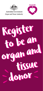

**Australian Government Organ and Tissue Authority** 



# donor donor Register Register to be an to be an organ and organ and tissue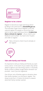

## **Register to be a donor**

Register to become an organ and tissue donor by filling in the online form at **[donatelife.gov.au](http://donatelife.gov.au)**. The Australian Organ Donor Register is the only national register for people to record that they want to be an organ and tissue donor. **It takes less than a minute to register** – all you need is your Medicare card number. You have to be 16 years and older to register.



Take a minute to check if you're already on the register.



# **Talk with family and friends**

It's important to tell your family and friends you want to be a donor. In the event of your death, they will be asked to agree to you becoming a donor. In Australia, family consent is always sought before donation can proceed – even if you are registered.

Over 90 per cent of families agree to donation when their family member is on the donor register. This drops to just five in 10 when the family is unaware what their family member wanted.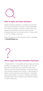

## **What is organ and tissue donation?**

Organ and tissue donation is a medical process that can save and transform the lives of many Australians who need a transplant. Donation involves removing organs and tissue from a person (a donor) and transplanting them into someone who, in many cases, is very ill or dying (a recipient).

More information on how donation works is available at **[donatelife.gov.au](http://donatelife.gov.au)**.



## **Why is organ and tissue donation important?**

Transplantation is not possible without organ and tissue donation. An organ donor can transform up to seven lives and a tissue donor can transform many lives. There are around 1,400 Australians on the wait list for a life-saving transplant and a further 11,000 people on dialysis. Some Australians die waiting for a transplant. Some spend weeks or months in hospital, with others making several trips to hospital every week for dialysis or other treatments.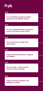# Myth

#### **Myth**

**I'm not healthy enough to donate because of my lifestyle choices.**

#### **Myth**

**If I am a registered donor, the doctor won't try as hard to save my life.**

#### **Myth**

**I'm too old to be an organ and tissue donor.**

#### **Myth**

**Organ and tissue donation is against my religion.**

#### **Myth**

**It's my choice – I don't need to discuss it with my family.**

#### **Myth**

**Organ and tissue donation will disfigure my body.**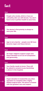# **Fact**

# **Fact Fact Fact Fact Fact Fact People who smoke, drink or have an unhealthy diet can still donate. You don't have to be in perfect health to save lives. The doctor's first priority is always to save your life. Age is not a barrier – people over 80 have become organ and tissue donors. All major religions support organ and tissue donation as an act of compassion and generosity. Your family needs to know. They will be asked to consent to you becoming a donor in the hospital. Organ donation is treated like any other operation in a hospital with a highly skilled surgical team. The donor is treated with the greatest care and respect.**